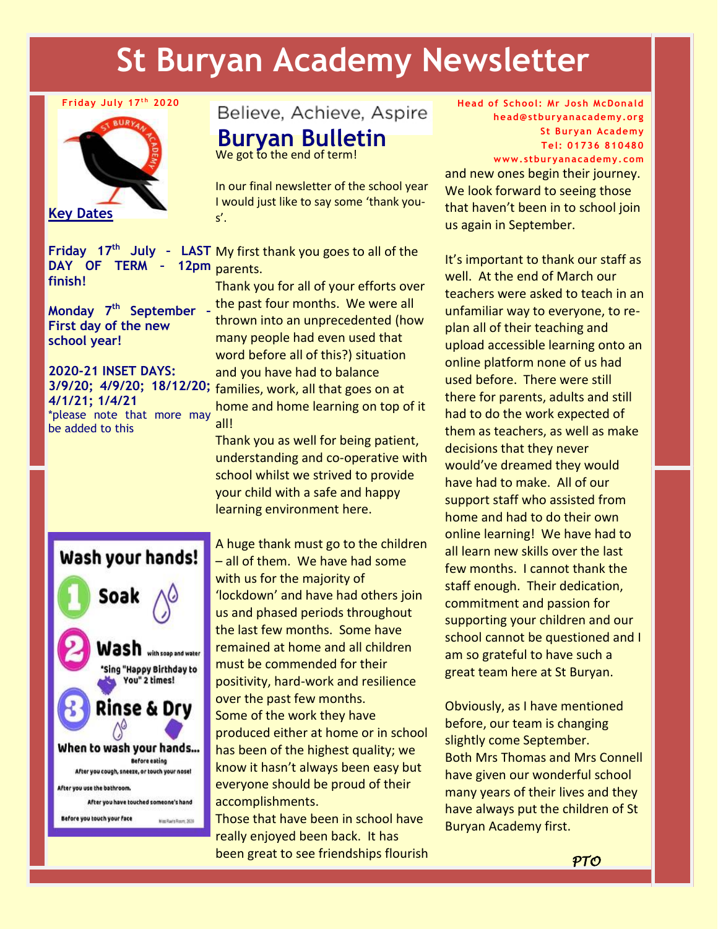## **St Buryan Academy Newsletter**

## **Friday July 17t h 2020**



**DAY OF TERM – 12pm finish!**

**Monday 7th September – First day of the new school year!**

**2020-21 INSET DAYS: 4/1/21; 1/4/21** \*please note that more may be added to this

Believe, Achieve, Aspire

**Buryan Bulletin**

We got to the end of term!

In our final newsletter of the school year I would just like to say some 'thank yous'.

Friday 17<sup>th</sup> July - LAST My first thank you goes to all of the 12pm parents.

Thank you for all of your efforts over the past four months. We were all thrown into an unprecedented (how many people had even used that word before all of this?) situation and you have had to balance 3/9/20; 4/9/20; 18/12/20; families, work, all that goes on at home and home learning on top of it all!

> Thank you as well for being patient, understanding and co-operative with school whilst we strived to provide your child with a safe and happy learning environment here.



A huge thank must go to the children – all of them. We have had some with us for the majority of 'lockdown' and have had others join us and phased periods throughout the last few months. Some have remained at home and all children must be commended for their positivity, hard-work and resilience over the past few months. Some of the work they have produced either at home or in school has been of the highest quality; we know it hasn't always been easy but everyone should be proud of their accomplishments.

Those that have been in school have really enjoyed been back. It has been great to see friendships flourish **Head of School: Mr Josh McDonald head@stburyanacademy.org St Buryan Academy Tel: 01736 810480**

**www.stburyanacademy. com**

and new ones begin their journey. We look forward to seeing those that haven't been in to school join us again in September.

It's important to thank our staff as well. At the end of March our teachers were asked to teach in an unfamiliar way to everyone, to replan all of their teaching and upload accessible learning onto an online platform none of us had used before. There were still there for parents, adults and still had to do the work expected of them as teachers, as well as make decisions that they never would've dreamed they would have had to make. All of our support staff who assisted from home and had to do their own online learning! We have had to all learn new skills over the last few months. I cannot thank the staff enough. Their dedication, commitment and passion for supporting your children and our school cannot be questioned and I am so grateful to have such a great team here at St Buryan.

Obviously, as I have mentioned before, our team is changing slightly come September. Both Mrs Thomas and Mrs Connell have given our wonderful school many years of their lives and they have always put the children of St Buryan Academy first.

 *PTO*